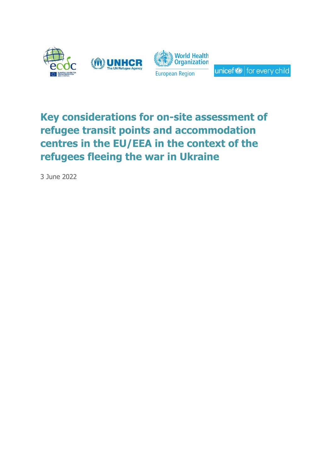

# **Key considerations for on-site assessment of refugee transit points and accommodation centres in the EU/EEA in the context of the refugees fleeing the war in Ukraine**

3 June 2022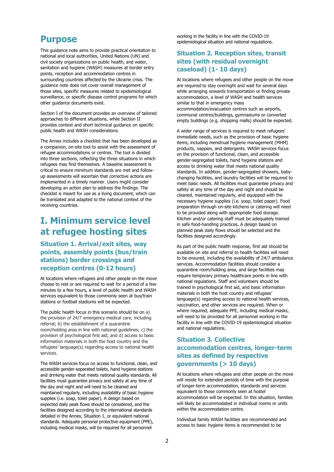## **Purpose**

This guidance note aims to provide practical orientation to national and local authorities, United Nations (UN) and civil society organizations on public health, and water, sanitation and hygiene (WASH) measures at border entry points, reception and accommodation centres in surrounding countries affected by the Ukraine crisis. The guidance note does not cover overall management of those sites, specific measures related to epidemiological surveillance, or specific disease control programs for which other guidance documents exist.

Section I of the document provides an overview of tailored approaches to different situations, while Section II provides context and short technical guidance on specific public health and WASH considerations.

The Annex includes a checklist that has been developed as a companion, on-site tool to assist with the assessment of refugee accommodations or centres. The tool is divided into three sections, reflecting the three situations in which refugees may find themselves. A baseline assessment is critical to ensure minimum standards are met and followup assessments will ascertain that corrective actions are implemented in a timely manner. Users might consider developing an action plan to address the findings. The checklist is meant for use as a living document, which can be translated and adapted to the national context of the receiving countries.

# **I. Minimum service level at refugee hosting sites**

## **Situation 1. Arrival/exit sites, way points, assembly points (bus/train stations) border crossings and reception centres (0-12 hours)**

At locations where refugees and other people on the move choose to rest or are required to wait for a period of a few minutes to a few hours, a level of public health and WASH services equivalent to those commonly seen at bus/train stations or football stadiums will be expected.

The public health focus in this scenario should be on a) the provision of 24/7 emergency medical care, including referral; b) the establishment of a quarantine room/holding area in line with national guidelines; c) the provision of psychological first aid; and d) access to basic information materials in both the host country and the refugees' language(s) regarding access to national health services.

The WASH services focus on access to functional, clean, and accessible gender-separated toilets, hand hygiene stations and drinking water that meets national quality standards. All facilities must guarantee privacy and safety at any time of the day and night and will need to be cleaned and maintained regularly, including availability of basic hygiene supplies (i.e. soap, toilet paper). A design based on expected daily peak flows should be considered, and the facilities designed according to the international standards detailed in the Annex, Situation 1, or equivalent national standards. Adequate personal protective equipment (PPE), including medical masks, will be required for all personnel

working in the facility in line with the COVID-19 epidemiological situation and national regulations.

## **Situation 2. Reception sites, transit sites (with residual overnight caseload) (1- 10 days)**

At locations where refugees and other people on the move are required to stay overnight and wait for several days while arranging onwards transportation or finding private accommodation, a level of WASH and health services similar to that in emergency mass accommodation/evacuation centres such as airports, communal centres/buildings, gymnasiums or converted empty buildings (e.g. shopping malls) should be expected.

A wider range of services is required to meet refugees' immediate needs, such as the provision of basic hygiene items, including menstrual hygiene management (MHM) products, nappies, and detergents. WASH services focus on the provision of functional, clean, and accessible gender-segregated toilets, hand hygiene stations and access to drinking water that meets national quality standards. In addition, gender-segregated showers, babychanging facilities, and laundry facilities will be required to meet basic needs. All facilities must guarantee privacy and safety at any time of the day and night and should be cleaned, maintained regularly, and equipped with the necessary hygiene supplies (i.e. soap, toilet paper). Food preparation through on-site kitchens or catering will need to be provided along with appropriate food storage. Kitchen and/or catering staff must be adequately trained in safe food-handling practices. A design based on planned peak daily flows should be selected and the facilities designed accordingly.

As part of the public health response, first aid should be available on site and referral to health facilities will need to be ensured, including the availability of 24/7 ambulance services. Accommodation facilities should consider a quarantine room/holding area, and large facilities may require temporary primary healthcare points in line with national regulations. Staff and volunteers should be trained in psychological first aid, and basic information materials in both the host country and refugees' language(s) regarding access to national health services, vaccination, and other services are required. When or where required, adequate PPE, including medical masks, will need to be provided for all personnel working in the facility in line with the COVID-19 epidemiological situation and national regulations.

## **Situation 3. Collective accommodation centres, longer-term sites as defined by respective governments (> 10 days)**

At locations where refugees and other people on the move will reside for extended periods of time with the purpose of longer-term accommodation, standards and services equivalent to those commonly seen at hostel accommodation will be expected. In this situation, families will likely be accommodated in individual rooms or units within the accommodation centre.

Individual family WASH facilities are recommended and access to basic hygiene items is recommended to be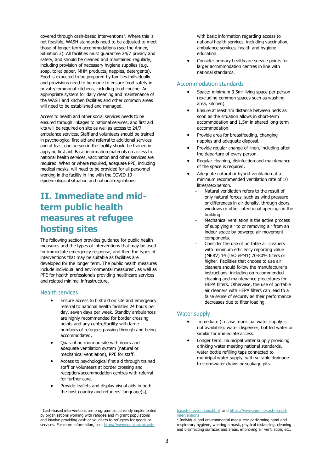covered through cash-based interventions $<sup>1</sup>$ . Where this is</sup> not feasible, WASH standards need to be adjusted to meet those of longer-term accommodations (see the Annex, Situation 3). All facilities must guarantee 24/7 privacy and safety, and should be cleaned and maintained regularly, including provision of necessary hygiene supplies (e.g. soap, toilet paper, MHM products, nappies, detergents). Food is expected to be prepared by families individually and provisions need to be made to ensure food safety in private/communal kitchens, including food cooling. An appropriate system for daily cleaning and maintenance of the WASH and kitchen facilities and other common areas will need to be established and managed.

Access to health and other social services needs to be ensured through linkages to national services, and first aid kits will be required on site as well as access to 24/7 ambulance services. Staff and volunteers should be trained in psychological first aid and referral to additional services and at least one person in the facility should be trained in applying first aid. Basic information materials on access to national health services, vaccination and other services are required. When or where required, adequate PPE, including medical masks, will need to be provided for all personnel working in the facility in line with the COVID-19 epidemiological situation and national regulations.

# **II. Immediate and midterm public health measures at refugee hosting sites**

The following section provides guidance for public health measures and the types of interventions that may be used for immediate emergency response, and then the types of interventions that may be suitable as facilities are developed for the longer term. The public health measures include individual and environmental measures $2$ , as well as PPE for health professionals providing healthcare services and related minimal infrastructure.

#### Health services

- Ensure access to first aid on site and emergency referral to national health facilities 24 hours per day, seven days per week. Standby ambulances are highly recommended for border crossing points and any centre/facility with large numbers of refugees passing through and being accommodated.
- Quarantine room on site with doors and adequate ventilation system (natural or mechanical ventilation), PPE for staff.
- Access to psychological first aid through trained staff or volunteers at border crossing and reception/accommodation centres with referral for further care.
- Provide leaflets and display visual aids in both the host country and refugees' language(s),

with basic information regarding access to national health services, including vaccination, ambulance services, health and hygiene education.

• Consider primary healthcare service points for larger accommodation centres in line with national standards.

#### Accommodation standards

- Space: minimum 3.5m<sup>2</sup> living space per person (excluding common spaces such as washing area, kitchen).
- Ensure at least 1m distance between beds as soon as the situation allows in short-term accommodation and 1.5m in shared long-term accommodation.
- Provide area for breastfeeding, changing nappies and adequate disposal.
- Provide regular change of linen, including after the departure of every person.
- Regular cleaning, disinfection and maintenance of the space is required.
- Adequate natural or hybrid ventilation at a minimum recommended ventilation rate of 10 litres/sec/person.
	- Natural ventilation refers to the result of only natural forces, such as wind pressure or differences in air density, through doors, windows or other intentional openings in the building.
	- Mechanical ventilation is the active process of supplying air to or removing air from an indoor space by powered air movement components.
	- Consider the use of portable air cleaners with minimum efficiency reporting value (MERV) 14 (ISO ePM1) 70-80% filters or higher. Facilities that choose to use air cleaners should follow the manufacturer's instructions, including on recommended cleaning and maintenance procedures for HEPA filters. Otherwise, the use of portable air cleaners with HEPA filters can lead to a false sense of security as their performance decreases due to filter loading.

#### Water supply

- Immediate (in case municipal water supply is not available): water dispenser, bottled water or similar for immediate access.
- Longer term: municipal water supply providing drinking water meeting national standards, water bottle refilling taps connected to municipal water supply, with suitable drainage to stormwater drains or soakage pits.

<sup>&</sup>lt;sup>1</sup> Cash-based interventions are programmes currently implemented by organisations working with refugee and migrant populations and involve providing cash or vouchers to refugees for goods or services. For more information, see[: https://www.unhcr.org/cash-](https://www.unhcr.org/cash-based-interventions.html)

[based-interventions.html](https://www.unhcr.org/cash-based-interventions.html) and [https://www.iom.int/cash-based](https://www.iom.int/cash-based-interventions)nterventions

<sup>2</sup> Individual and environmental measures: performing hand and respiratory hygiene, wearing a mask, physical distancing, cleaning and disinfecting surfaces and areas, improving air ventilation, etc.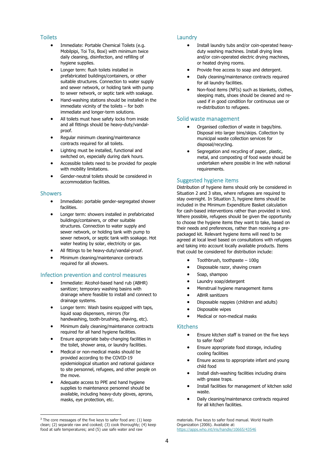#### **Toilets**

- Immediate: Portable Chemical Toilets (e.g. Mobilpipi, Toi Toi, Boxi) with minimum twice daily cleaning, disinfection, and refilling of hygiene supplies.
- Longer term: flush toilets installed in prefabricated buildings/containers, or other suitable structures. Connection to water supply and sewer network, or holding tank with pump to sewer network, or septic tank with soakage.
- Hand-washing stations should be installed in the immediate vicinity of the toilets – for both immediate and longer-term solutions.
- All toilets must have safety locks from inside and all fittings should be heavy-duty/vandalproof.
- Regular minimum cleaning/maintenance contracts required for all toilets.
- Lighting must be installed, functional and switched on, especially during dark hours.
- Accessible toilets need to be provided for people with mobility limitations.
- Gender-neutral toilets should be considered in accommodation facilities.

#### Showers

- Immediate: portable gender-segregated shower facilities.
- Longer term: showers installed in prefabricated buildings/containers, or other suitable structures. Connection to water supply and sewer network, or holding tank with pump to sewer network, or septic tank with soakage. Hot water heating by solar, electricity or gas.
- All fittings to be heavy-duty/vandal-proof.
- Minimum cleaning/maintenance contracts required for all showers.

#### Infection prevention and control measures

- Immediate: Alcohol-based hand rub (ABHR) sanitizer; temporary washing basins with drainage where feasible to install and connect to drainage systems.
- Longer term: Wash basins equipped with taps, liquid soap dispensers, mirrors (for handwashing, tooth-brushing, shaving, etc).
- Minimum daily cleaning/maintenance contracts required for all hand hygiene facilities.
- Ensure appropriate baby-changing facilities in the toilet, shower area, or laundry facilities.
- Medical or non-medical masks should be provided according to the COVID-19 epidemiological situation and national guidance to site personnel, refugees, and other people on the move.
- Adequate access to PPE and hand hygiene supplies to maintenance personnel should be available, including heavy-duty gloves, aprons, masks, eye protection, etc.

#### Laundry

- Install laundry tubs and/or coin-operated heavyduty washing machines. Install drying lines and/or coin-operated electric drying machines, or heated drying rooms.
- Provide free access to soap and detergent.
- Daily cleaning/maintenance contracts required for all laundry facilities.
- Non-food items (NFIs) such as blankets, clothes, sleeping mats, shoes should be cleaned and reused if in good condition for continuous use or re-distribution to refugees.

#### Solid waste management

- Organised collection of waste in bags/bins. Disposal into larger bins/skips. Collection by municipal waste collection services for disposal/recycling.
- Segregation and recycling of paper, plastic, metal, and composting of food waste should be undertaken where possible in line with national requirements.

#### Suggested hygiene items

Distribution of hygiene items should only be considered in Situation 2 and 3 sites, where refugees are required to stay overnight. In Situation 3, hygiene items should be included in the Minimum Expenditure Basket calculation for cash-based interventions rather than provided in kind. Where possible, refugees should be given the opportunity to choose the hygiene items they want to take, based on their needs and preferences, rather than receiving a prepackaged kit. Relevant hygiene items will need to be agreed at local level based on consultations with refugees and taking into account locally available products. Items that could be considered for distribution include:

- Toothbrush, toothpaste 100g
- Disposable razor, shaving cream
- Soap, shampoo
- Laundry soap/detergent
- Menstrual hygiene management items
- ABHR sanitizers
- Disposable nappies (children and adults)
- Disposable wipes
- Medical or non-medical masks

#### Kitchens

- Ensure kitchen staff is trained on the five keys to safer food<sup>3</sup>
- Ensure appropriate food storage, including cooling facilities
- Ensure access to appropriate infant and young child food
- Install dish-washing facilities including drains with grease traps.
- Install facilities for management of kitchen solid waste.
- Daily cleaning/maintenance contracts required for all kitchen facilities.

materials. Five keys to safer food manual. World Health Organization (2006). Available at: <https://apps.who.int/iris/handle/10665/43546>

<sup>&</sup>lt;sup>3</sup> The core messages of the five keys to safer food are: (1) keep clean; (2) separate raw and cooked; (3) cook thoroughly; (4) keep food at safe temperatures; and (5) use safe water and raw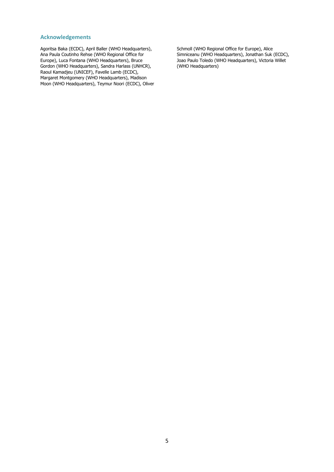#### **Acknowledgements**

Agoritsa Baka (ECDC), April Baller (WHO Headquarters), Ana Paula Coutinho Rehse (WHO Regional Office for Europe), Luca Fontana (WHO Headquarters), Bruce Gordon (WHO Headquarters), Sandra Harlass (UNHCR), Raoul Kamadjeu (UNICEF), Favelle Lamb (ECDC), Margaret Montgomery (WHO Headquarters), Madison Moon (WHO Headquarters), Teymur Noori (ECDC), Oliver Schmoll (WHO Regional Office for Europe), Alice Simniceanu (WHO Headquarters), Jonathan Suk (ECDC), Joao Paulo Toledo (WHO Headquarters), Victoria Willet (WHO Headquarters)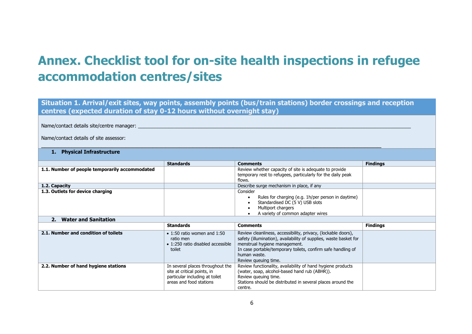# **Annex. Checklist tool for on-site health inspections in refugee accommodation centres/sites**

**Situation 1. Arrival/exit sites, way points, assembly points (bus/train stations) border crossings and reception centres (expected duration of stay 0-12 hours without overnight stay)**

 $\_$  , and the set of the set of the set of the set of the set of the set of the set of the set of the set of the set of the set of the set of the set of the set of the set of the set of the set of the set of the set of th

Name/contact details site/centre manager:

Name/contact details of site assessor:

#### **1. Physical Infrastructure**

|                                                | <b>Standards</b> | <b>Comments</b>                                                                                                                                              | <b>Findings</b> |
|------------------------------------------------|------------------|--------------------------------------------------------------------------------------------------------------------------------------------------------------|-----------------|
| 1.1. Number of people temporarily accommodated |                  | Review whether capacity of site is adequate to provide<br>temporary rest to refugees, particularly for the daily peak<br>flows.                              |                 |
| 1.2. Capacity                                  |                  | Describe surge mechanism in place, if any                                                                                                                    |                 |
| 1.3. Outlets for device charging               |                  | Consider<br>Rules for charging (e.g. 1h/per person in daytime)<br>Standardised DC (5 V) USB slots<br>Multiport chargers<br>A variety of common adapter wires |                 |

#### **2. Water and Sanitation**

| z. wacci and Janicación              |                                                                                                                              |                                                                                                                                                                                                                                                                             |                 |  |
|--------------------------------------|------------------------------------------------------------------------------------------------------------------------------|-----------------------------------------------------------------------------------------------------------------------------------------------------------------------------------------------------------------------------------------------------------------------------|-----------------|--|
|                                      | <b>Standards</b>                                                                                                             | <b>Comments</b>                                                                                                                                                                                                                                                             | <b>Findings</b> |  |
| 2.1. Number and condition of toilets | $\bullet$ 1:50 ratio women and 1:50<br>ratio men<br>$\bullet$ 1:250 ratio disabled accessible<br>toilet                      | Review cleanliness, accessibility, privacy, (lockable doors),<br>safety (illumination), availability of supplies, waste basket for<br>menstrual hygiene management.<br>In case portable/temporary toilets, confirm safe handling of<br>human waste.<br>Review queuing time. |                 |  |
| 2.2. Number of hand hygiene stations | In several places throughout the<br>site at critical points, in<br>particular including at toilet<br>areas and food stations | Review functionality, availability of hand hygiene products<br>(water, soap, alcohol-based hand rub (ABHR)).<br>Review queuing time.<br>Stations should be distributed in several places around the<br>centre.                                                              |                 |  |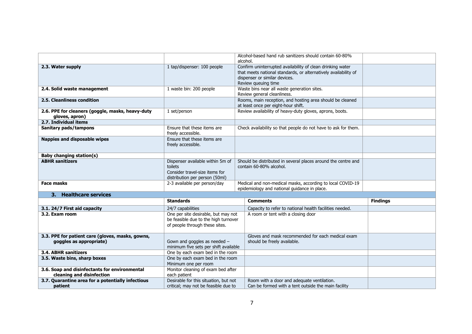|                                                                             |                                                                                                                 | alcohol. | Alcohol-based hand rub sanitizers should contain 60-80%                                                                                                                               |                 |
|-----------------------------------------------------------------------------|-----------------------------------------------------------------------------------------------------------------|----------|---------------------------------------------------------------------------------------------------------------------------------------------------------------------------------------|-----------------|
| 2.3. Water supply                                                           | 1 tap/dispenser: 100 people                                                                                     |          | Confirm uninterrupted availability of clean drinking water<br>that meets national standards, or alternatively availability of<br>dispenser or similar devices.<br>Review queuing time |                 |
| 2.4. Solid waste management                                                 | 1 waste bin: 200 people                                                                                         |          | Waste bins near all waste generation sites.<br>Review general cleanliness.                                                                                                            |                 |
| 2.5. Cleanliness condition                                                  |                                                                                                                 |          | Rooms, main reception, and hosting area should be cleaned<br>at least once per eight-hour shift.                                                                                      |                 |
| 2.6. PPE for cleaners (goggle, masks, heavy-duty<br>gloves, apron)          | 1 set/person                                                                                                    |          | Review availability of heavy-duty gloves, aprons, boots.                                                                                                                              |                 |
| 2.7. Individual items                                                       |                                                                                                                 |          |                                                                                                                                                                                       |                 |
| Sanitary pads/tampons                                                       | Ensure that these items are<br>freely accessible.                                                               |          | Check availability so that people do not have to ask for them.                                                                                                                        |                 |
| <b>Nappies and disposable wipes</b>                                         | Ensure that these items are<br>freely accessible.                                                               |          |                                                                                                                                                                                       |                 |
| <b>Baby changing station(s)</b>                                             |                                                                                                                 |          |                                                                                                                                                                                       |                 |
| <b>ABHR</b> sanitizers                                                      | Dispenser available within 5m of<br>toilets<br>Consider travel-size items for<br>distribution per person (50ml) |          | Should be distributed in several places around the centre and<br>contain 60-80% alcohol.                                                                                              |                 |
| <b>Face masks</b>                                                           | 2-3 available per person/day                                                                                    |          | Medical and non-medical masks, according to local COVID-19<br>epidemiology and national guidance in place.                                                                            |                 |
| 3. Healthcare services                                                      |                                                                                                                 |          |                                                                                                                                                                                       |                 |
|                                                                             | <b>Standards</b>                                                                                                |          | <b>Comments</b>                                                                                                                                                                       | <b>Findings</b> |
| 3.1. 24/7 First aid capacity                                                | 24/7 capabilities                                                                                               |          | Capacity to refer to national health facilities needed.                                                                                                                               |                 |
| 3.2. Exam room                                                              | One per site desirable, but may not<br>be feasible due to the high turnover<br>of people through these sites.   |          | A room or tent with a closing door                                                                                                                                                    |                 |
| 3.3. PPE for patient care (gloves, masks, gowns,<br>goggles as appropriate) | Gown and goggles as needed -<br>minimum five sets per shift available                                           |          | Gloves and mask recommended for each medical exam<br>should be freely available.                                                                                                      |                 |
| <b>3.4. ABHR sanitizers</b>                                                 | One by each exam bed in the room                                                                                |          |                                                                                                                                                                                       |                 |
| 3.5. Waste bins, sharp boxes                                                | One by each exam bed in the room<br>Minimum one per room                                                        |          |                                                                                                                                                                                       |                 |
| 3.6. Soap and disinfectants for environmental<br>cleaning and disinfection  | Monitor cleaning of exam bed after<br>each patient                                                              |          |                                                                                                                                                                                       |                 |
| 3.7. Quarantine area for a potentially infectious<br>patient                | Desirable for this situation, but not<br>critical; may not be feasible due to                                   |          | Room with a door and adequate ventilation.<br>Can be formed with a tent outside the main facility                                                                                     |                 |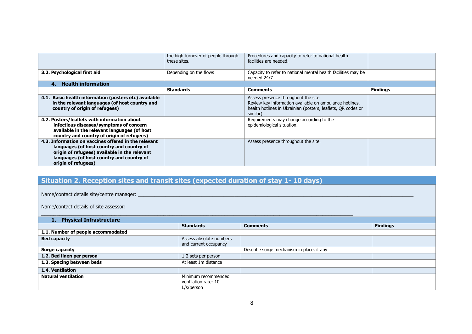| 3.2. Psychological first aid                                                                                                                                                                                           | the high turnover of people through<br>these sites.<br>Depending on the flows | Procedures and capacity to refer to national health<br>facilities are needed.<br>Capacity to refer to national mental health facilities may be<br>needed 24/7.              |                 |
|------------------------------------------------------------------------------------------------------------------------------------------------------------------------------------------------------------------------|-------------------------------------------------------------------------------|-----------------------------------------------------------------------------------------------------------------------------------------------------------------------------|-----------------|
| <b>Health information</b><br>4.                                                                                                                                                                                        |                                                                               |                                                                                                                                                                             |                 |
|                                                                                                                                                                                                                        | <b>Standards</b>                                                              | <b>Comments</b>                                                                                                                                                             | <b>Findings</b> |
| 4.1. Basic health information (posters etc) available<br>in the relevant languages (of host country and<br>country of origin of refugees)                                                                              |                                                                               | Assess presence throughout the site<br>Review key information available on ambulance hotlines,<br>health hotlines in Ukrainian (posters, leaflets, OR codes or<br>similar). |                 |
| 4.2. Posters/leaflets with information about<br>infectious diseases/symptoms of concern<br>available in the relevant languages (of host<br>country and country of origin of refugees)                                  |                                                                               | Requirements may change according to the<br>epidemiological situation.                                                                                                      |                 |
| 4.3. Information on vaccines offered in the relevant<br>languages (of host country and country of<br>origin of refugees) available in the relevant<br>languages (of host country and country of<br>origin of refugees) |                                                                               | Assess presence throughout the site.                                                                                                                                        |                 |

## **Situation 2. Reception sites and transit sites (expected duration of stay 1- 10 days)**

Name/contact details site/centre manager:

Name/contact details of site assessor:

#### $\_$  . The contribution of the contribution of the contribution of the contribution of the contribution of the contribution of the contribution of the contribution of the contribution of the contribution of the contributio **1. Physical Infrastructure**

|                                    | <b>Standards</b>                                 | <b>Comments</b>                           | <b>Findings</b> |
|------------------------------------|--------------------------------------------------|-------------------------------------------|-----------------|
| 1.1. Number of people accommodated |                                                  |                                           |                 |
| <b>Bed capacity</b>                | Assess absolute numbers<br>and current occupancy |                                           |                 |
| Surge capacity                     |                                                  | Describe surge mechanism in place, if any |                 |
| 1.2. Bed linen per person          | 1-2 sets per person                              |                                           |                 |
| 1.3. Spacing between beds          | At least 1m distance                             |                                           |                 |
| 1.4. Ventilation                   |                                                  |                                           |                 |
| <b>Natural ventilation</b>         | Minimum recommended                              |                                           |                 |
|                                    | ventilation rate: 10                             |                                           |                 |
|                                    | L/s/person                                       |                                           |                 |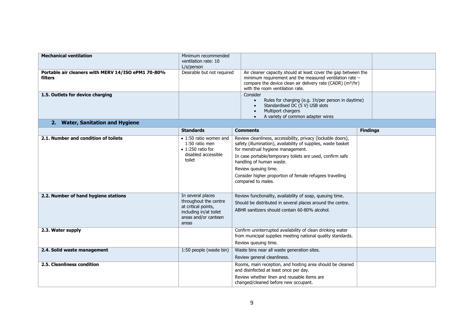| <b>Mechanical ventilation</b>                      | Minimum recommended        |                                                                                                                                   |                 |
|----------------------------------------------------|----------------------------|-----------------------------------------------------------------------------------------------------------------------------------|-----------------|
|                                                    | ventilation rate: 10       |                                                                                                                                   |                 |
|                                                    | L/s/person                 |                                                                                                                                   |                 |
| Portable air cleaners with MERV 14/ISO ePM1 70-80% | Desirable but not required | Air cleaner capacity should at least cover the gap between the                                                                    |                 |
| filters                                            |                            | minimum requirement and the measured ventilation rate -<br>compare the device clean air delivery rate (CADR) (m <sup>3</sup> /hr) |                 |
|                                                    |                            | with the room ventilation rate.                                                                                                   |                 |
| 1.5. Outlets for device charging                   |                            | Consider                                                                                                                          |                 |
|                                                    |                            | Rules for charging (e.g. 1h/per person in daytime)                                                                                |                 |
|                                                    |                            | Standardised DC (5 V) USB slots                                                                                                   |                 |
|                                                    |                            | Multiport chargers                                                                                                                |                 |
|                                                    |                            | A variety of common adapter wires                                                                                                 |                 |
| 2. Water, Sanitation and Hygiene                   |                            |                                                                                                                                   |                 |
|                                                    | <b>Standards</b>           | <b>Comments</b>                                                                                                                   | <b>Findings</b> |
| 2.1. Number and condition of toilets               | • 1:50 ratio women and     | Review cleanliness, accessibility, privacy (lockable doors),                                                                      |                 |
|                                                    | 1:50 ratio men             | safety (illumination), availability of supplies, waste basket                                                                     |                 |
|                                                    | $\bullet$ 1:250 ratio for  | for menstrual hygiene management.                                                                                                 |                 |
|                                                    | disabled accessible        | In case portable/temporary toilets are used, confirm safe                                                                         |                 |
|                                                    | toilet                     | handling of human waste.                                                                                                          |                 |
|                                                    |                            | Review queuing time.                                                                                                              |                 |
|                                                    |                            | Consider higher proportion of female refugees travelling                                                                          |                 |
|                                                    |                            | compared to males.                                                                                                                |                 |
|                                                    |                            |                                                                                                                                   |                 |
| 2.2. Number of hand hygiene stations               | In several places          | Review functionality, availability of soap, queuing time.                                                                         |                 |
|                                                    | throughout the centre      | Should be distributed in several places around the centre.                                                                        |                 |
|                                                    | at critical points,        | ABHR sanitizers should contain 60-80% alcohol.                                                                                    |                 |
|                                                    | including in/at toilet     |                                                                                                                                   |                 |
|                                                    | areas and/or canteen       |                                                                                                                                   |                 |
|                                                    | areas                      |                                                                                                                                   |                 |
| 2.3. Water supply                                  |                            | Confirm uninterrupted availability of clean drinking water                                                                        |                 |
|                                                    |                            | from municipal supplies meeting national quality standards.                                                                       |                 |
|                                                    |                            | Review queuing time.                                                                                                              |                 |
| 2.4. Solid waste management                        | 1:50 people (waste bin)    | Waste bins near all waste generation sites.                                                                                       |                 |
|                                                    |                            | Review general cleanliness.                                                                                                       |                 |
| 2.5. Cleanliness condition                         |                            | Rooms, main reception, and hosting area should be cleaned                                                                         |                 |
|                                                    |                            | and disinfected at least once per day.                                                                                            |                 |
|                                                    |                            | Review whether linen and reusable items are                                                                                       |                 |
|                                                    |                            | changed/cleaned before new occupant.                                                                                              |                 |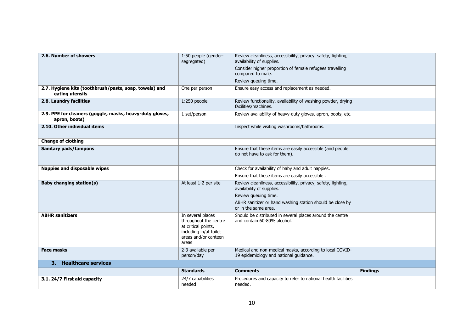| 2.6. Number of showers                                                    | 1:50 people (gender-<br>segregated)                                                                                          | Review cleanliness, accessibility, privacy, safety, lighting,<br>availability of supplies.<br>Consider higher proportion of female refugees travelling<br>compared to male.<br>Review queuing time.     |                 |  |  |
|---------------------------------------------------------------------------|------------------------------------------------------------------------------------------------------------------------------|---------------------------------------------------------------------------------------------------------------------------------------------------------------------------------------------------------|-----------------|--|--|
| 2.7. Hygiene kits (toothbrush/paste, soap, towels) and<br>eating utensils | One per person                                                                                                               | Ensure easy access and replacement as needed.                                                                                                                                                           |                 |  |  |
| 2.8. Laundry facilities                                                   | $1:250$ people                                                                                                               | Review functionality, availability of washing powder, drying<br>facilities/machines.                                                                                                                    |                 |  |  |
| 2.9. PPE for cleaners (goggle, masks, heavy-duty gloves,<br>apron, boots) | 1 set/person                                                                                                                 | Review availability of heavy-duty gloves, apron, boots, etc.                                                                                                                                            |                 |  |  |
| 2.10. Other individual items                                              |                                                                                                                              | Inspect while visiting washrooms/bathrooms.                                                                                                                                                             |                 |  |  |
| <b>Change of clothing</b>                                                 |                                                                                                                              |                                                                                                                                                                                                         |                 |  |  |
| <b>Sanitary pads/tampons</b>                                              |                                                                                                                              | Ensure that these items are easily accessible (and people<br>do not have to ask for them).                                                                                                              |                 |  |  |
| Nappies and disposable wipes                                              |                                                                                                                              | Check for availability of baby and adult nappies.<br>Ensure that these items are easily accessible.                                                                                                     |                 |  |  |
| <b>Baby changing station(s)</b>                                           | At least 1-2 per site                                                                                                        | Review cleanliness, accessibility, privacy, safety, lighting,<br>availability of supplies.<br>Review queuing time.<br>ABHR sanitizer or hand washing station should be close by<br>or in the same area. |                 |  |  |
| <b>ABHR</b> sanitizers                                                    | In several places<br>throughout the centre<br>at critical points,<br>including in/at toilet<br>areas and/or canteen<br>areas | Should be distributed in several places around the centre<br>and contain 60-80% alcohol.                                                                                                                |                 |  |  |
| <b>Face masks</b>                                                         | 2-3 available per<br>person/day                                                                                              | Medical and non-medical masks, according to local COVID-<br>19 epidemiology and national guidance.                                                                                                      |                 |  |  |
| 3. Healthcare services                                                    |                                                                                                                              |                                                                                                                                                                                                         |                 |  |  |
|                                                                           | <b>Standards</b>                                                                                                             | <b>Comments</b>                                                                                                                                                                                         | <b>Findings</b> |  |  |
| 3.1. 24/7 First aid capacity                                              | 24/7 capabilities<br>needed                                                                                                  | Procedures and capacity to refer to national health facilities<br>needed.                                                                                                                               |                 |  |  |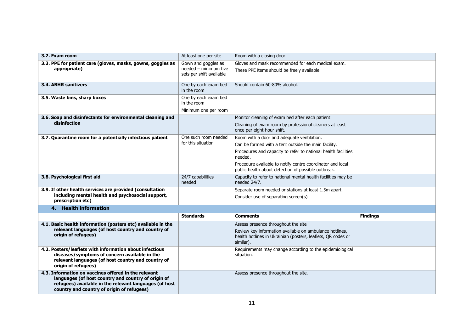| 3.2. Exam room                                                                                                                                                                                                      | At least one per site                                                    | Room with a closing door.                                                                                                                                                   |                 |
|---------------------------------------------------------------------------------------------------------------------------------------------------------------------------------------------------------------------|--------------------------------------------------------------------------|-----------------------------------------------------------------------------------------------------------------------------------------------------------------------------|-----------------|
| 3.3. PPE for patient care (gloves, masks, gowns, goggles as<br>appropriate)                                                                                                                                         | Gown and goggles as<br>needed - minimum five<br>sets per shift available | Gloves and mask recommended for each medical exam.<br>These PPE items should be freely available.                                                                           |                 |
| 3.4. ABHR sanitizers                                                                                                                                                                                                | One by each exam bed<br>in the room                                      | Should contain 60-80% alcohol.                                                                                                                                              |                 |
| 3.5. Waste bins, sharp boxes                                                                                                                                                                                        | One by each exam bed<br>in the room                                      |                                                                                                                                                                             |                 |
|                                                                                                                                                                                                                     | Minimum one per room                                                     |                                                                                                                                                                             |                 |
| 3.6. Soap and disinfectants for environmental cleaning and<br>disinfection                                                                                                                                          |                                                                          | Monitor cleaning of exam bed after each patient<br>Cleaning of exam room by professional cleaners at least<br>once per eight-hour shift.                                    |                 |
| 3.7. Quarantine room for a potentially infectious patient                                                                                                                                                           | One such room needed                                                     | Room with a door and adequate ventilation.                                                                                                                                  |                 |
|                                                                                                                                                                                                                     | for this situation                                                       | Can be formed with a tent outside the main facility.                                                                                                                        |                 |
|                                                                                                                                                                                                                     |                                                                          | Procedures and capacity to refer to national health facilities<br>needed.                                                                                                   |                 |
|                                                                                                                                                                                                                     |                                                                          | Procedure available to notify centre coordinator and local<br>public health about detection of possible outbreak.                                                           |                 |
| 3.8. Psychological first aid                                                                                                                                                                                        | 24/7 capabilities<br>needed                                              | Capacity to refer to national mental health facilities may be<br>needed 24/7.                                                                                               |                 |
| 3.9. If other health services are provided (consultation<br>including mental health and psychosocial support,<br>prescription etc)                                                                                  |                                                                          | Separate room needed or stations at least 1.5m apart.<br>Consider use of separating screen(s).                                                                              |                 |
| 4. Health information                                                                                                                                                                                               |                                                                          |                                                                                                                                                                             |                 |
|                                                                                                                                                                                                                     | <b>Standards</b>                                                         | <b>Comments</b>                                                                                                                                                             | <b>Findings</b> |
| 4.1. Basic health information (posters etc) available in the<br>relevant languages (of host country and country of<br>origin of refugees)                                                                           |                                                                          | Assess presence throughout the site<br>Review key information available on ambulance hotlines,<br>health hotlines in Ukrainian (posters, leaflets, QR codes or<br>similar). |                 |
| 4.2. Posters/leaflets with information about infectious<br>diseases/symptoms of concern available in the<br>relevant languages (of host country and country of<br>origin of refugees)                               |                                                                          | Requirements may change according to the epidemiological<br>situation.                                                                                                      |                 |
| 4.3. Information on vaccines offered in the relevant<br>languages (of host country and country of origin of<br>refugees) available in the relevant languages (of host<br>country and country of origin of refugees) |                                                                          | Assess presence throughout the site.                                                                                                                                        |                 |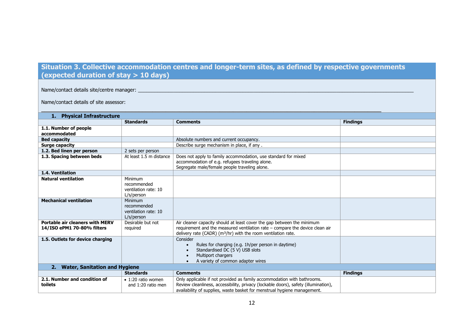## **Situation 3. Collective accommodation centres and longer-term sites, as defined by respective governments (expected duration of stay > 10 days)**

\_\_\_\_\_\_\_\_\_\_\_\_\_\_\_\_\_\_\_\_\_\_\_\_\_\_\_\_\_\_\_\_\_\_\_\_\_\_\_\_\_\_\_\_\_\_\_\_\_\_\_\_\_\_\_\_\_\_\_\_\_\_\_\_\_\_\_\_\_\_\_\_\_\_\_\_\_\_\_\_\_\_\_\_\_\_\_\_\_\_\_\_\_\_\_\_\_\_\_\_\_

Name/contact details site/centre manager:

Name/contact details of site assessor:

| 1. Physical Infrastructure                                           |                                                              |                                                                                                                                                                                                                                            |                 |  |  |  |  |
|----------------------------------------------------------------------|--------------------------------------------------------------|--------------------------------------------------------------------------------------------------------------------------------------------------------------------------------------------------------------------------------------------|-----------------|--|--|--|--|
|                                                                      | <b>Standards</b>                                             | <b>Comments</b>                                                                                                                                                                                                                            | <b>Findings</b> |  |  |  |  |
| 1.1. Number of people<br>accommodated                                |                                                              |                                                                                                                                                                                                                                            |                 |  |  |  |  |
| <b>Bed capacity</b>                                                  |                                                              | Absolute numbers and current occupancy.                                                                                                                                                                                                    |                 |  |  |  |  |
| <b>Surge capacity</b>                                                |                                                              | Describe surge mechanism in place, if any.                                                                                                                                                                                                 |                 |  |  |  |  |
| 1.2. Bed linen per person                                            | 2 sets per person                                            |                                                                                                                                                                                                                                            |                 |  |  |  |  |
| 1.3. Spacing between beds                                            | At least 1.5 m distance                                      | Does not apply to family accommodation, use standard for mixed<br>accommodation of e.g. refugees traveling alone.<br>Segregate male/female people traveling alone.                                                                         |                 |  |  |  |  |
| 1.4. Ventilation                                                     |                                                              |                                                                                                                                                                                                                                            |                 |  |  |  |  |
| <b>Natural ventilation</b>                                           | Minimum<br>recommended<br>ventilation rate: 10<br>L/s/person |                                                                                                                                                                                                                                            |                 |  |  |  |  |
| <b>Mechanical ventilation</b>                                        | Minimum<br>recommended<br>ventilation rate: 10<br>L/s/person |                                                                                                                                                                                                                                            |                 |  |  |  |  |
| <b>Portable air cleaners with MERV</b><br>14/ISO ePM1 70-80% filters | Desirable but not<br>required                                | Air cleaner capacity should at least cover the gap between the minimum<br>requirement and the measured ventilation rate - compare the device clean air<br>delivery rate (CADR) ( $m^3$ /hr) with the room ventilation rate.                |                 |  |  |  |  |
| 1.5. Outlets for device charging                                     |                                                              | Consider<br>Rules for charging (e.g. 1h/per person in daytime)<br>Standardised DC (5 V) USB slots<br>Multiport chargers<br>A variety of common adapter wires                                                                               |                 |  |  |  |  |
| 2.                                                                   | <b>Water, Sanitation and Hygiene</b>                         |                                                                                                                                                                                                                                            |                 |  |  |  |  |
|                                                                      | <b>Standards</b>                                             | <b>Comments</b>                                                                                                                                                                                                                            | <b>Findings</b> |  |  |  |  |
| 2.1. Number and condition of<br>toilets                              | $\bullet$ 1:20 ratio women<br>and 1:20 ratio men             | Only applicable if not provided as family accommodation with bathrooms.<br>Review cleanliness, accessibility, privacy (lockable doors), safety (illumination),<br>availability of supplies, waste basket for menstrual hygiene management. |                 |  |  |  |  |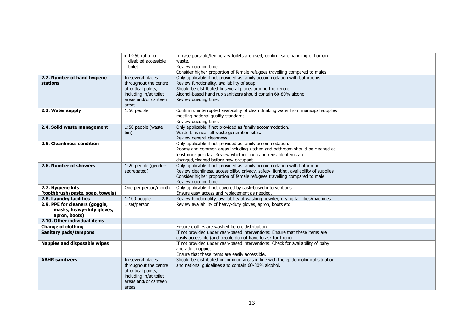|                                                                              | $\bullet$ 1:250 ratio for<br>disabled accessible<br>toilet                                                                   | In case portable/temporary toilets are used, confirm safe handling of human<br>waste.<br>Review queuing time.<br>Consider higher proportion of female refugees travelling compared to males.                                                                                     |  |
|------------------------------------------------------------------------------|------------------------------------------------------------------------------------------------------------------------------|----------------------------------------------------------------------------------------------------------------------------------------------------------------------------------------------------------------------------------------------------------------------------------|--|
| 2.2. Number of hand hygiene<br>stations                                      | In several places<br>throughout the centre<br>at critical points,<br>including in/at toilet<br>areas and/or canteen<br>areas | Only applicable if not provided as family accommodation with bathrooms.<br>Review functionality, availability of soap.<br>Should be distributed in several places around the centre.<br>Alcohol-based hand rub sanitizers should contain 60-80% alcohol.<br>Review queuing time. |  |
| 2.3. Water supply                                                            | 1:50 people                                                                                                                  | Confirm uninterrupted availability of clean drinking water from municipal supplies<br>meeting national quality standards.<br>Review queuing time.                                                                                                                                |  |
| 2.4. Solid waste management                                                  | 1:50 people (waste<br>bin)                                                                                                   | Only applicable if not provided as family accommodation.<br>Waste bins near all waste generation sites.<br>Review general cleanness.                                                                                                                                             |  |
| 2.5. Cleanliness condition                                                   |                                                                                                                              | Only applicable if not provided as family accommodation.<br>Rooms and common areas including kitchen and bathroom should be cleaned at<br>least once per day. Review whether linen and reusable items are<br>changed/cleaned before new occupant.                                |  |
| 2.6. Number of showers                                                       | 1:20 people (gender-<br>segregated)                                                                                          | Only applicable if not provided as family accommodation with bathroom.<br>Review cleanliness, accessibility, privacy, safety, lighting, availability of supplies.<br>Consider higher proportion of female refugees travelling compared to male.<br>Review queuing time.          |  |
| 2.7. Hygiene kits<br>(toothbrush/paste, soap, towels)                        | One per person/month                                                                                                         | Only applicable if not covered by cash-based interventions.<br>Ensure easy access and replacement as needed.                                                                                                                                                                     |  |
| 2.8. Laundry facilities                                                      | $1:100$ people                                                                                                               | Review functionality, availability of washing powder, drying facilities/machines                                                                                                                                                                                                 |  |
| 2.9. PPE for cleaners (goggle,<br>masks, heavy-duty gloves,<br>apron, boots) | 1 set/person                                                                                                                 | Review availability of heavy-duty gloves, apron, boots etc                                                                                                                                                                                                                       |  |
| 2.10. Other individual items                                                 |                                                                                                                              |                                                                                                                                                                                                                                                                                  |  |
| <b>Change of clothing</b>                                                    |                                                                                                                              | Ensure clothes are washed before distribution                                                                                                                                                                                                                                    |  |
| Sanitary pads/tampons                                                        |                                                                                                                              | If not provided under cash-based interventions: Ensure that these items are<br>easily accessible (and people do not have to ask for them)                                                                                                                                        |  |
| Nappies and disposable wipes                                                 |                                                                                                                              | If not provided under cash-based interventions: Check for availability of baby<br>and adult nappies.<br>Ensure that these items are easily accessible.                                                                                                                           |  |
| <b>ABHR sanitizers</b>                                                       | In several places<br>throughout the centre<br>at critical points,<br>including in/at toilet<br>areas and/or canteen<br>areas | Should be distributed in common areas in line with the epidemiological situation<br>and national guidelines and contain 60-80% alcohol.                                                                                                                                          |  |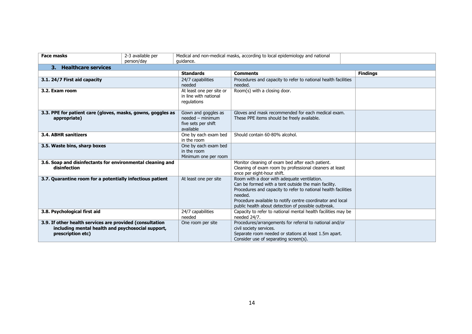| <b>Face masks</b>                                                                                                                  | 2-3 available per | Medical and non-medical masks, according to local epidemiology and national   |                                                                                                                                                                                                                                                                                                       |                 |  |
|------------------------------------------------------------------------------------------------------------------------------------|-------------------|-------------------------------------------------------------------------------|-------------------------------------------------------------------------------------------------------------------------------------------------------------------------------------------------------------------------------------------------------------------------------------------------------|-----------------|--|
|                                                                                                                                    | person/day        | quidance.                                                                     |                                                                                                                                                                                                                                                                                                       |                 |  |
| 3. Healthcare services                                                                                                             |                   |                                                                               |                                                                                                                                                                                                                                                                                                       |                 |  |
|                                                                                                                                    |                   | <b>Standards</b>                                                              | <b>Comments</b>                                                                                                                                                                                                                                                                                       | <b>Findings</b> |  |
| 3.1. 24/7 First aid capacity                                                                                                       |                   | 24/7 capabilities<br>needed                                                   | Procedures and capacity to refer to national health facilities<br>needed.                                                                                                                                                                                                                             |                 |  |
| 3.2. Exam room                                                                                                                     |                   | At least one per site or<br>in line with national<br>regulations              | Room(s) with a closing door.                                                                                                                                                                                                                                                                          |                 |  |
| 3.3. PPE for patient care (gloves, masks, gowns, goggles as<br>appropriate)                                                        |                   | Gown and goggles as<br>$needed - minimum$<br>five sets per shift<br>available | Gloves and mask recommended for each medical exam.<br>These PPE items should be freely available.                                                                                                                                                                                                     |                 |  |
| 3.4. ABHR sanitizers                                                                                                               |                   | One by each exam bed<br>in the room                                           | Should contain 60-80% alcohol.                                                                                                                                                                                                                                                                        |                 |  |
| 3.5. Waste bins, sharp boxes                                                                                                       |                   | One by each exam bed<br>in the room<br>Minimum one per room                   |                                                                                                                                                                                                                                                                                                       |                 |  |
| 3.6. Soap and disinfectants for environmental cleaning and<br>disinfection                                                         |                   |                                                                               | Monitor cleaning of exam bed after each patient.<br>Cleaning of exam room by professional cleaners at least<br>once per eight-hour shift.                                                                                                                                                             |                 |  |
| 3.7. Quarantine room for a potentially infectious patient                                                                          |                   | At least one per site                                                         | Room with a door with adequate ventilation.<br>Can be formed with a tent outside the main facility.<br>Procedures and capacity to refer to national health facilities<br>needed.<br>Procedure available to notify centre coordinator and local<br>public health about detection of possible outbreak. |                 |  |
| 3.8. Psychological first aid                                                                                                       |                   | 24/7 capabilities<br>needed                                                   | Capacity to refer to national mental health facilities may be<br>needed 24/7.                                                                                                                                                                                                                         |                 |  |
| 3.9. If other health services are provided (consultation<br>including mental health and psychosocial support,<br>prescription etc) |                   | One room per site                                                             | Procedures/arrangements for referral to national and/or<br>civil society services.<br>Separate room needed or stations at least 1.5m apart.<br>Consider use of separating screen(s).                                                                                                                  |                 |  |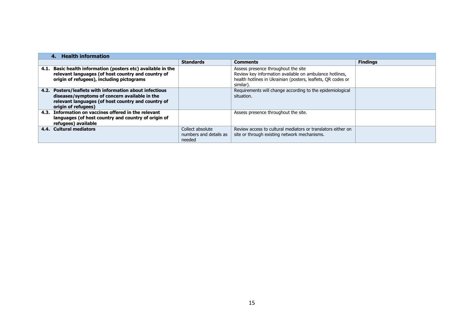|      | <b>Health information</b>                                                                                                                                                        |                                                      |                                                                                                                                                                             |                 |  |  |
|------|----------------------------------------------------------------------------------------------------------------------------------------------------------------------------------|------------------------------------------------------|-----------------------------------------------------------------------------------------------------------------------------------------------------------------------------|-----------------|--|--|
|      |                                                                                                                                                                                  | <b>Standards</b>                                     | <b>Comments</b>                                                                                                                                                             | <b>Findings</b> |  |  |
|      | 4.1. Basic health information (posters etc) available in the<br>relevant languages (of host country and country of<br>origin of refugees), including pictograms                  |                                                      | Assess presence throughout the site<br>Review key information available on ambulance hotlines,<br>health hotlines in Ukrainian (posters, leaflets, QR codes or<br>similar). |                 |  |  |
| 4.2. | Posters/leaflets with information about infectious<br>diseases/symptoms of concern available in the<br>relevant languages (of host country and country of<br>origin of refugees) |                                                      | Requirements will change according to the epidemiological<br>situation.                                                                                                     |                 |  |  |
|      | 4.3. Information on vaccines offered in the relevant<br>languages (of host country and country of origin of<br>refugees) available                                               |                                                      | Assess presence throughout the site.                                                                                                                                        |                 |  |  |
|      | 4.4. Cultural mediators                                                                                                                                                          | Collect absolute<br>numbers and details as<br>needed | Review access to cultural mediators or translators either on<br>site or through existing network mechanisms.                                                                |                 |  |  |